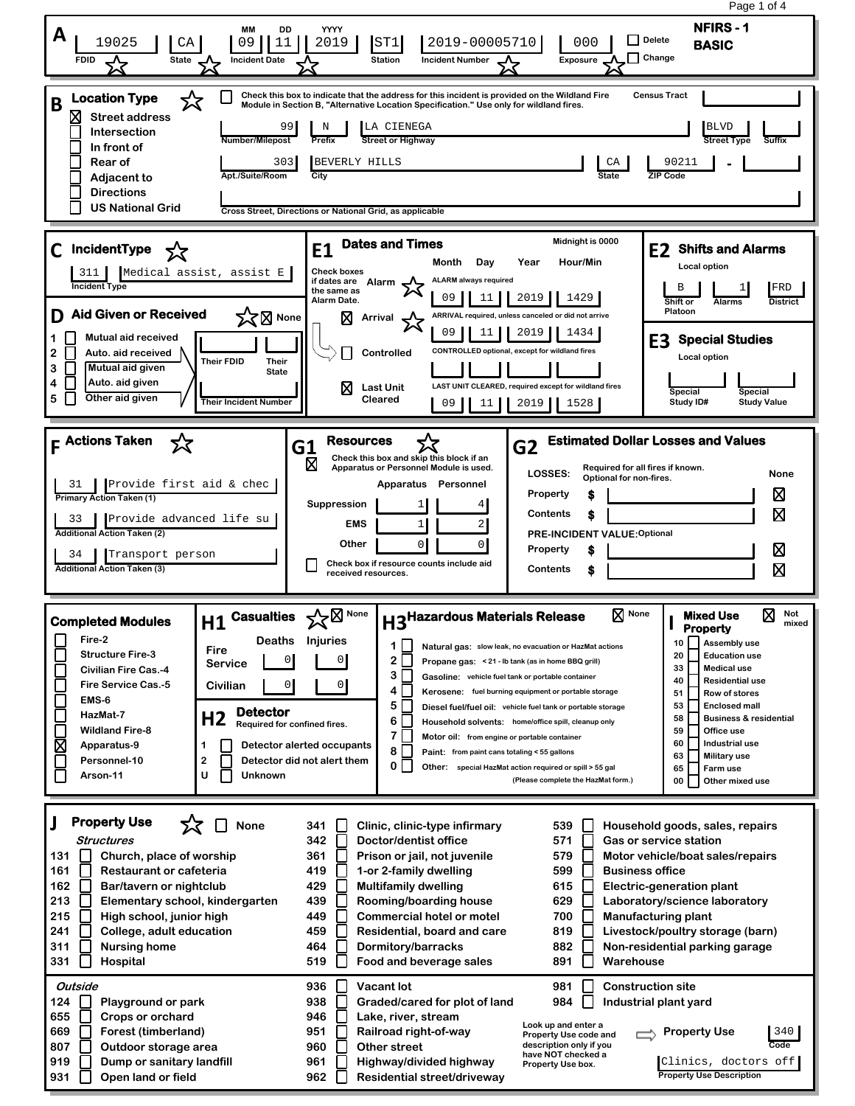Page 1 of 4**NFIRS - 1 MM DD YYYY A** 19025 **CA 09 11 2019 ST1 2019-00005710** 000 **D** Pelete **BASIC Delete FDID A State A Incident Date Station Incident Number Exposure Change Check this box to indicate that the address for this incident is provided on the Wildland Fire Location Type** ☆ **Census Tract B Module in Section B, "Alternative Location Specification." Use only for wildland fires. Street address** N | LA CIENEGA 99 BLVD **Intersection Number/Milepost Prefix Street or Highway In front of Rear of** 303 BEVERLY HILLS **CA 30211 - Adjacent to Apt./Suite/Room City State ZIP Code Directions US National Grid Cross Street, Directions or National Grid, as applicable E1 Dates and Times Midnight is 0000**<br>Month Day Year Hour/Min **C IncidentType E2 Shifts and Alarms Month Day Year Hour/Min Local option** 311 Medical assist, assist E **Check boxes ALARM always required if dates are Alarm Incident Ty** B 1 1 FRD **the same as**  09 1 11 1 2019 1 1429 **Alarm Date. Shift or Alarms District D Aid Given or Received X**<br>X<br>
Mone **Platoon Arrival ARRIVAL required, unless canceled or did not arrive** 09 11 2019 1434 **1 Mutual aid received E3 Special Studies CONTROLLED optional, except for wildland fires 2 Auto. aid received Controlled Local option Their FDID Their 3 Mutual aid given State Auto. aid given 4 LAST UNIT CLEARED, required except for wildland fires Last Unit Special Special 5 Other aid given Cleared Study ID# Their Incident Number** 09 11 2019 1528 **Study Value F Actions Taken G2 Estimated Dollar Losses and Values G1 Resources**<br> **D Check this box**<br> **Apparatus or P** ⋝Ӡ **Check this box and skip this block if an Apparatus or Personnel Module is used. Required for all fires if known. LOSSES: Optional for non-fires. None Apparatus Personnel** 31 Provide first aid & chec ⊠ **Property \$ Primary Action Taken (1) Suppression**  $\overline{4}$ 冈 **Contents \$** 33 Provide advanced life su 1 2 **EMS Additional Action Taken (2) PRE-INCIDENT VALUE:Optional Other**  $0 \quad 0$ **Property** ⊠ **\$** 34 Transport person **Check box if resource counts include aid Additional Action Taken (3)** 冈 **Contents \$ received resources. H3<sup>Hazardous Materials Release**  $\boxtimes$  None **H** Mixed Use  $\boxtimes$  Not mixed</sup> **H1** Casualties  $\sqrt{\phantom{a}}^{\phantom{\prime}}_{\sim}$   $\boxtimes$  None **None Mixed Use I Completed Modules Property Fire-2 Deaths Injuries 10 Assembly use 1 Natural gas: slow leak, no evacuation or HazMat actions Fire Structure Fire-3 20 Education use**  $2\Gamma$  0 0 **Service Propane gas: < 21 - lb tank (as in home BBQ grill) 33 Medical use Civilian Fire Cas.-4**  $3\Box$ **Gasoline: vehicle fuel tank or portable container 40 Residential use Fire Service Cas.-5 Civilian** 0 0 Г **4 Kerosene: fuel burning equipment or portable storage 51 Row of stores EMS-6** Г **5 53 Enclosed mall Diesel fuel/fuel oil: vehicle fuel tank or portable storage Detector HazMat-7 H2 Required for confined fires.** Г **58 Business & residential 6 Household solvents: home/office spill, cleanup only Wildland Fire-8 59 Office use 7 Motor oil: from engine or portable container 60 Industrial use** Σ **1 Detector alerted occupants Apparatus-9 8 Paint: from paint cans totaling < 55 gallons 63 Military use Personnel-10 2 Detector did not alert them** Г **0 65 Farm use Other: special HazMat action required or spill > 55 gal**  $\Box$ **Arson-11 U Unknown (Please complete the HazMat form.) 00 Other mixed use J Property Use** ⊓ י≾ **None Clinic, clinic-type infirmary 341 539 Household goods, sales, repairs Structures 342 Doctor/dentist office 571 Gas or service station 131 Church, place of worship 361 Prison or jail, not juvenile 579 Motor vehicle/boat sales/repairs 161 Restaurant or cafeteria 419 1-or 2-family dwelling 599 Business office 162 Bar/tavern or nightclub 429 Multifamily dwelling 615 Electric-generation plant 213 439 629 Elementary school, kindergarten Rooming/boarding house Laboratory/science laboratory 700 215**  $\mathsf{L}$ **High school, junior high 449 Commercial hotel or motel Manufacturing plant 241 College, adult education 459 Residential, board and care 819 Livestock/poultry storage (barn) 882 311 Nursing home 464 Dormitory/barracks Non-residential parking garage 331 Hospital 519 Food and beverage sales 891** П **Warehouse Outside 936 Vacant lot 981 Construction site 984 124 Playground or park 938 Graded/cared for plot of land Industrial plant yard 655 946 Crops or orchard Lake, river, stream Look up and enter a 669 Forest (timberland) 951 Railroad right-of-way Property Use** 340 **Property Use code and 807 Outdoor storage area 960 Other street description only if you Code have NOT checked a 919 Dump or sanitary landfill 961 Highway/divided highway** Clinics, doctors off **Property Use box. 931 Open land or field 962 Residential street/driveway Property Use Description**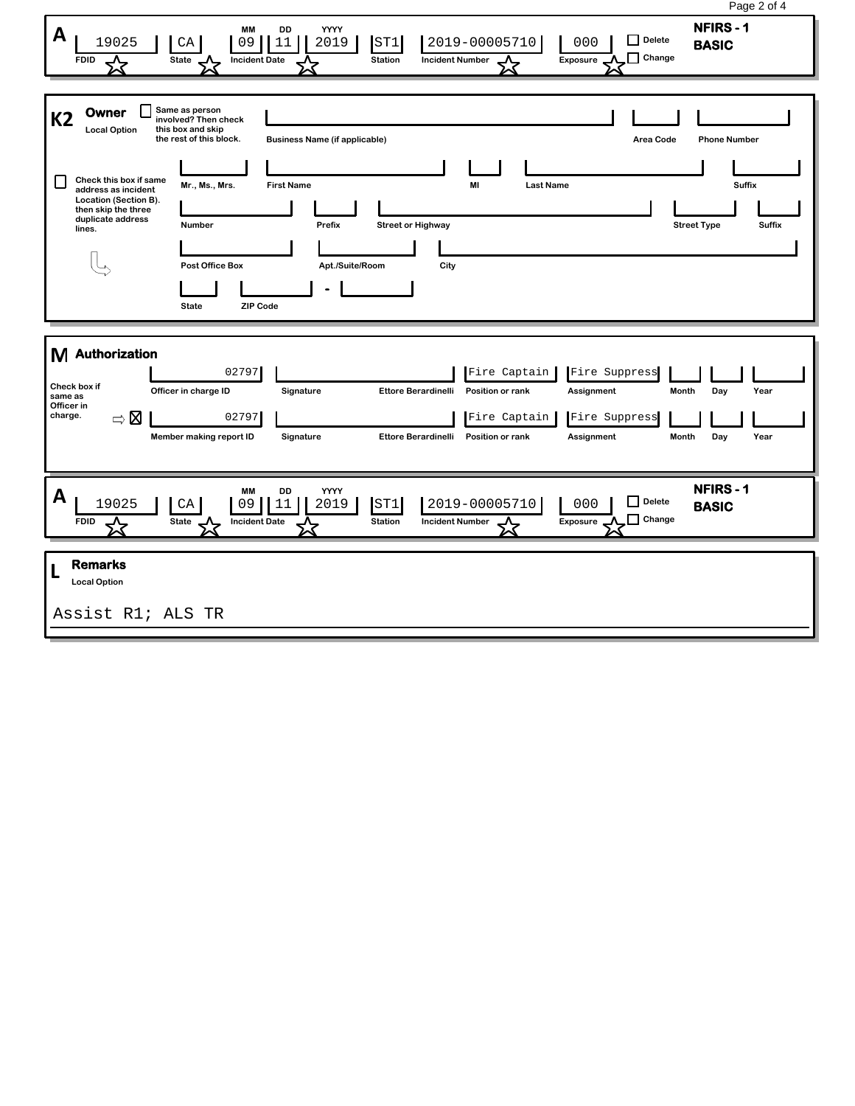| Page 2 of 4                                                                                                                                                                                                                                                                                                                                                                                                                                        |
|----------------------------------------------------------------------------------------------------------------------------------------------------------------------------------------------------------------------------------------------------------------------------------------------------------------------------------------------------------------------------------------------------------------------------------------------------|
| <b>NFIRS-1</b><br>DD<br>YYYY<br>MM<br>A<br>Delete<br>2019-00005710<br>19025<br>000<br>11<br>2019<br>ST1<br>CA<br>09<br><b>BASIC</b><br>$\Box$ Change<br><b>State</b><br><b>Station</b><br><b>Incident Number</b><br>Exposure<br><b>FDID</b><br>ᠽᡐ<br><b>Incident Date</b>                                                                                                                                                                          |
| Same as person<br>Owner<br><b>K2</b><br>involved? Then check<br><b>Local Option</b><br>this box and skip<br>the rest of this block.<br><b>Business Name (if applicable)</b><br>Area Code<br><b>Phone Number</b>                                                                                                                                                                                                                                    |
| Check this box if same<br>Mr., Ms., Mrs.<br><b>Last Name</b><br>Suffix<br><b>First Name</b><br>MI<br>address as incident<br>Location (Section B).<br>then skip the three<br>duplicate address<br><b>Number</b><br>Prefix<br><b>Street or Highway</b><br><b>Street Type</b><br><b>Suffix</b><br>lines.<br><b>Post Office Box</b><br>Apt./Suite/Room<br>City<br><b>State</b><br><b>ZIP Code</b>                                                      |
| Authorization<br>M<br>02797<br>Fire Suppress<br>Fire Captain<br>Check box if<br>Officer in charge ID<br>Signature<br><b>Ettore Berardinelli</b><br>Position or rank<br>Assignment<br>Month<br>Day<br>Year<br>same as<br>Officer in<br>charge.<br>$\Rightarrow \boxtimes$<br>02797<br>Fire Suppress<br>Fire Captain<br>Member making report ID<br>Signature<br><b>Ettore Berardinelli</b><br>Position or rank<br>Month<br>Day<br>Year<br>Assignment |
| <b>NFIRS-1</b><br>DD<br>YYYY<br>МM<br>A<br>Delete<br>2019-00005710<br>19025<br>09<br>11<br>2019<br>ST1<br>000<br>CA<br><b>BASIC</b><br>$\Box$ Change<br><b>Incident Date</b><br><b>Station</b><br>State<br><b>Incident Number</b><br>Exposure<br>∧<br><b>FDID</b>                                                                                                                                                                                  |
| <b>Remarks</b><br>L<br><b>Local Option</b><br>Assist R1; ALS TR                                                                                                                                                                                                                                                                                                                                                                                    |
|                                                                                                                                                                                                                                                                                                                                                                                                                                                    |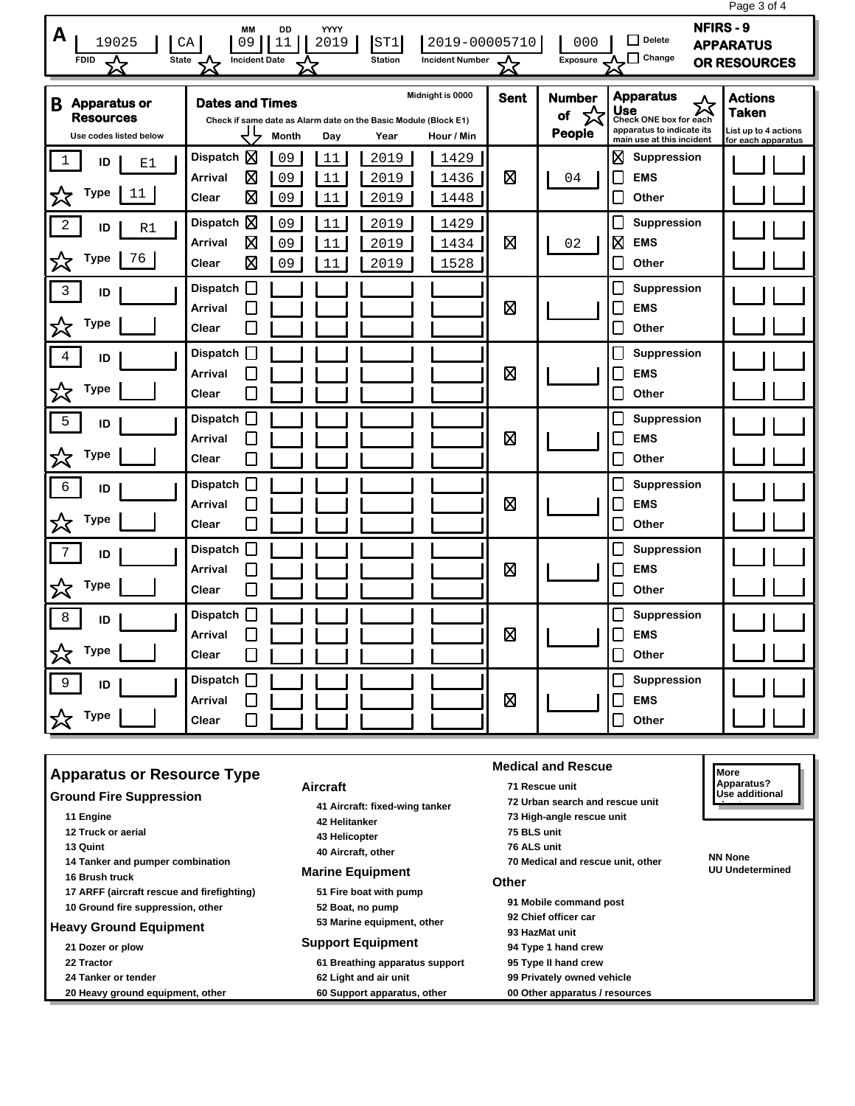|                                                                                                                                                                                                                                                                                                                                              |                                                                                                                  |                                              |             |                                    |                                                                                                                         | Page 3 of 4                                                                  |
|----------------------------------------------------------------------------------------------------------------------------------------------------------------------------------------------------------------------------------------------------------------------------------------------------------------------------------------------|------------------------------------------------------------------------------------------------------------------|----------------------------------------------|-------------|------------------------------------|-------------------------------------------------------------------------------------------------------------------------|------------------------------------------------------------------------------|
| <b>NFIRS-9</b><br><b>MM</b><br>DD<br>YYYY<br>A<br>$\Box$ Delete<br>19025<br>09<br>2019<br>ST1<br>2019-00005710<br>000<br>СA<br>11<br><b>APPARATUS</b><br>$\Box$ Change<br><b>FDID</b><br>$\overline{\mathbf{x}}$<br><b>State</b><br><b>Station</b><br><b>Incident Number</b><br><b>Incident Date</b><br><b>Exposure</b><br>OR RESOURCES<br>☆ |                                                                                                                  |                                              |             |                                    |                                                                                                                         |                                                                              |
| <b>Apparatus or</b><br>B<br><b>Resources</b><br>Use codes listed below                                                                                                                                                                                                                                                                       | <b>Dates and Times</b><br>Check if same date as Alarm date on the Basic Module (Block E1)<br><b>Month</b><br>Day | Midnight is 0000<br>Year<br>Hour / Min       | <b>Sent</b> | <b>Number</b><br>☆<br>of<br>People | <b>Apparatus</b><br>公<br><b>Use</b><br>Check ONE box for each<br>apparatus to indicate its<br>main use at this incident | <b>Actions</b><br><b>Taken</b><br>List up to 4 actions<br>for each apparatus |
| 1<br>ID<br>E1<br><b>Type</b><br>公<br>11                                                                                                                                                                                                                                                                                                      | Dispatch $\boxtimes$<br>09<br>11<br>図<br>09<br>11<br>Arrival<br>囟<br>Clear<br>09<br>11                           | 1429<br>2019<br>2019<br>1436<br>2019<br>1448 | 図           | 04                                 | ⊠<br>Suppression<br><b>EMS</b><br>$\mathbb{R}$<br>Other<br>L                                                            |                                                                              |
| 2<br>ID<br>R1<br>Type<br>76                                                                                                                                                                                                                                                                                                                  | 図<br><b>Dispatch</b><br>09<br>11<br>図<br>09<br>11<br>Arrival<br>図<br>09<br>11<br>Clear                           | 2019<br>1429<br>2019<br>1434<br>2019<br>1528 | 図           | 02                                 | Suppression<br>L<br>⊠<br><b>EMS</b><br>Other                                                                            |                                                                              |
| $\overline{3}$<br>ID<br><b>Type</b><br>父                                                                                                                                                                                                                                                                                                     | П<br><b>Dispatch</b><br><b>Arrival</b><br>Clear                                                                  |                                              | ⊠           |                                    | Suppression<br>L<br><b>EMS</b><br>Other                                                                                 |                                                                              |
| $\overline{4}$<br>ID<br><b>Type</b><br>公                                                                                                                                                                                                                                                                                                     | <b>Dispatch</b><br>Arrival<br>Clear                                                                              |                                              | 図           |                                    | <b>Suppression</b><br><b>EMS</b><br>Other<br>L                                                                          |                                                                              |
| 5<br>ID<br><b>Type</b><br>╳                                                                                                                                                                                                                                                                                                                  | <b>Dispatch</b><br>Arrival<br>Clear                                                                              |                                              | ⊠           |                                    | Suppression<br>$\overline{\phantom{a}}$<br><b>EMS</b><br>$\mathbb{R}$<br>Other<br>$\mathbb{R}$                          |                                                                              |
| $\epsilon$<br>ID<br>Type<br>╳                                                                                                                                                                                                                                                                                                                | <b>Dispatch</b><br><b>Arrival</b><br>Clear                                                                       |                                              | 図           |                                    | Suppression<br>L<br><b>EMS</b><br>Other                                                                                 |                                                                              |
| 7<br>ID<br><b>Type</b><br>☆                                                                                                                                                                                                                                                                                                                  | <b>Dispatch</b><br>Arrival<br>Clear                                                                              |                                              | 図           |                                    | Suppression<br><b>EMS</b><br>L<br>Other                                                                                 |                                                                              |
| 8<br>ID<br><b>Type</b><br>公                                                                                                                                                                                                                                                                                                                  | $\mathsf{I}$<br><b>Dispatch</b><br>Arrival<br>Clear                                                              |                                              | ⊠           |                                    | Suppression<br>$\overline{\phantom{a}}$<br><b>EMS</b><br>L<br>Other                                                     |                                                                              |
| 9<br>ID<br>☆<br><b>Type</b>                                                                                                                                                                                                                                                                                                                  | Dispatch<br>Arrival<br>Clear<br>$\mathbf{I}$                                                                     |                                              | 図           |                                    | Suppression<br><b>EMS</b><br>Other                                                                                      |                                                                              |

| <b>Apparatus or Resource Type</b>                                               |                                                                                                                   | More                                                                                         |                                          |
|---------------------------------------------------------------------------------|-------------------------------------------------------------------------------------------------------------------|----------------------------------------------------------------------------------------------|------------------------------------------|
| <b>Ground Fire Suppression</b>                                                  | <b>Aircraft</b>                                                                                                   | 71 Rescue unit<br>72 Urban search and rescue unit                                            | Apparatus?<br>Use additional             |
| 11 Engine<br>12 Truck or aerial<br>13 Quint<br>14 Tanker and pumper combination | 41 Aircraft: fixed-wing tanker<br>42 Helitanker<br>43 Helicopter<br>40 Aircraft, other<br><b>Marine Equipment</b> | 73 High-angle rescue unit<br>75 BLS unit<br>76 ALS unit<br>70 Medical and rescue unit, other | <b>NN None</b><br><b>UU Undetermined</b> |
| 16 Brush truck<br>17 ARFF (aircraft rescue and firefighting)                    | 51 Fire boat with pump                                                                                            | Other                                                                                        |                                          |
| 10 Ground fire suppression, other                                               | 52 Boat, no pump<br>53 Marine equipment, other                                                                    | 91 Mobile command post<br>92 Chief officer car                                               |                                          |
| <b>Heavy Ground Equipment</b><br>21 Dozer or plow                               | <b>Support Equipment</b>                                                                                          | 93 HazMat unit<br>94 Type 1 hand crew                                                        |                                          |
| 22 Tractor                                                                      | 61 Breathing apparatus support                                                                                    | 95 Type II hand crew                                                                         |                                          |
| 24 Tanker or tender<br>20 Heavy ground equipment, other                         | 62 Light and air unit<br>60 Support apparatus, other                                                              | 99 Privately owned vehicle<br>00 Other apparatus / resources                                 |                                          |
|                                                                                 |                                                                                                                   |                                                                                              |                                          |